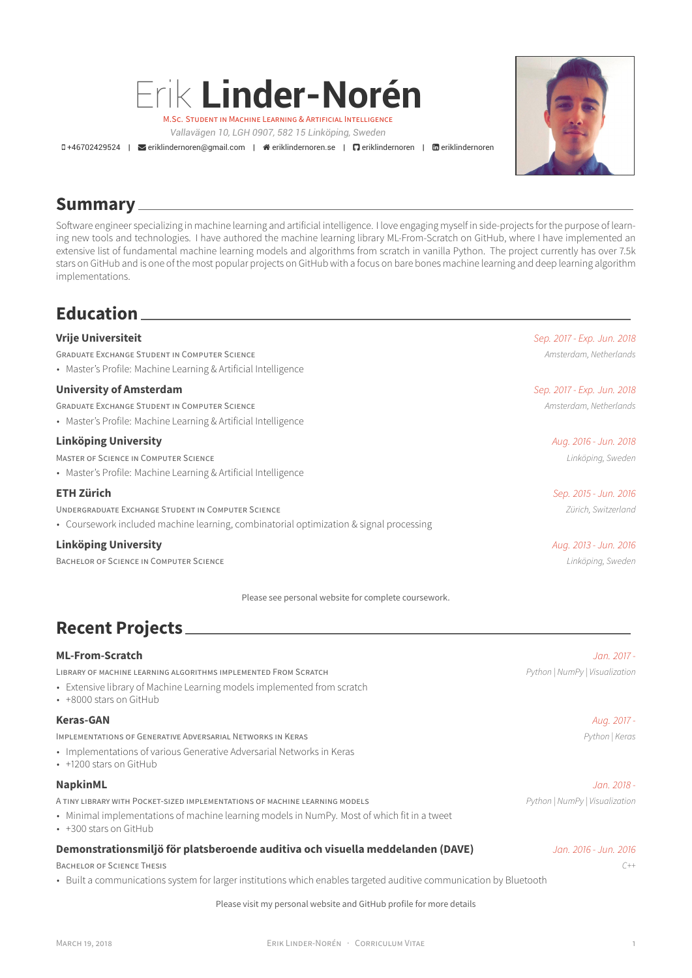

*Vallavägen 10, LGH 0907, 582 15 Linköping, Sweden*

+46702429524 | eriklindernoren@gmail.com | eriklindernoren.se | eriklindernoren | eriklindernoren



## **Summary**

Software engineer specializing in machine learning and artificial intelligence. I love engaging myself in side-projects for the purpose of learning new tools and technologies. I have authored the machine learning library ML-From-Scratch on GitHub, where I have implemented an extensive list of fundamental machine learning models and algorithms from scratch in vanilla Python. The project currently has over 7.5k stars on GitHub and is one of the most popular projects on GitHub with a focus on bare bones machine learning and deep learning algorithm implementations.

# **Education**

| <b>Vrije Universiteit</b>                                                                                                                    | Sep. 2017 - Exp. Jun. 2018 |
|----------------------------------------------------------------------------------------------------------------------------------------------|----------------------------|
| <b>GRADUATE EXCHANGE STUDENT IN COMPUTER SCIENCE</b><br>• Master's Profile: Machine Learning & Artificial Intelligence                       | Amsterdam, Netherlands     |
| <b>University of Amsterdam</b>                                                                                                               | Sep. 2017 - Exp. Jun. 2018 |
| <b>GRADUATE EXCHANGE STUDENT IN COMPUTER SCIENCE</b><br>• Master's Profile: Machine Learning & Artificial Intelligence                       | Amsterdam, Netherlands     |
| <b>Linköping University</b>                                                                                                                  | Aug. 2016 - Jun. 2018      |
| MASTER OF SCIENCE IN COMPUTER SCIENCE<br>• Master's Profile: Machine Learning & Artificial Intelligence                                      | Linköping, Sweden          |
| <b>ETH Zürich</b>                                                                                                                            | Sep. 2015 - Jun. 2016      |
| UNDERGRADUATE EXCHANGE STUDENT IN COMPUTER SCIENCE<br>• Coursework included machine learning, combinatorial optimization & signal processing | Zürich, Switzerland        |
| <b>Linköping University</b>                                                                                                                  | Aug. 2013 - Jun. 2016      |
| BACHELOR OF SCIENCE IN COMPUTER SCIENCE                                                                                                      | Linköping, Sweden          |

Please see personal website for complete coursework.

# **Recent Projects**

| Jan. 2017 -                                                                                                                                           |
|-------------------------------------------------------------------------------------------------------------------------------------------------------|
| Python   NumPy   Visualization                                                                                                                        |
| Aug. 2017 -                                                                                                                                           |
| Python   Keras                                                                                                                                        |
| Jan. 2018 -                                                                                                                                           |
| Python   NumPy   Visualization                                                                                                                        |
| Jan. 2016 - Jun. 2016.<br>$C++$<br>• Built a communications system for larger institutions which enables targeted auditive communication by Bluetooth |
|                                                                                                                                                       |

Please visit my personal website and GitHub profile for more details